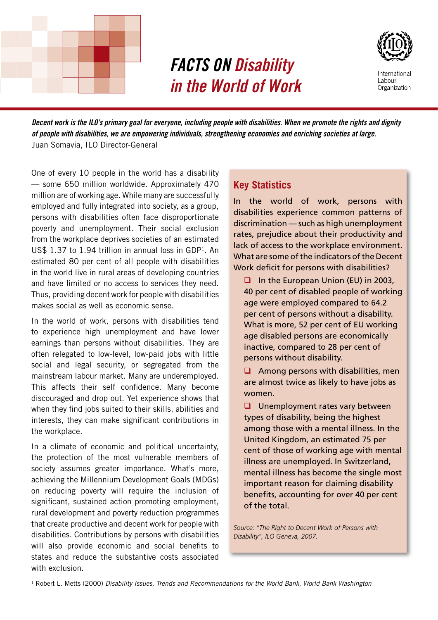

# *FACTS ON Disability in the World of Work*



*Decent work is the ILO's primary goal for everyone, including people with disabilities. When we promote the rights and dignity of people with disabilities, we are empowering individuals, strengthening economies and enriching societies at large.*  Juan Somavia, ILO Director-General

One of every 10 people in the world has a disability — some 650 million worldwide. Approximately 470 million are of working age. While many are successfully employed and fully integrated into society, as a group, persons with disabilities often face disproportionate poverty and unemployment. Their social exclusion from the workplace deprives societies of an estimated US\$  $1.37$  to  $1.94$  trillion in annual loss in GDP<sup>1</sup>. An estimated 80 per cent of all people with disabilities in the world live in rural areas of developing countries and have limited or no access to services they need. Thus, providing decent work for people with disabilities makes social as well as economic sense.

In the world of work, persons with disabilities tend to experience high unemployment and have lower earnings than persons without disabilities. They are often relegated to low-level, low-paid jobs with little social and legal security, or segregated from the mainstream labour market. Many are underemployed. This affects their self confidence. Many become discouraged and drop out. Yet experience shows that when they find jobs suited to their skills, abilities and interests, they can make significant contributions in the workplace.

In a climate of economic and political uncertainty, the protection of the most vulnerable members of society assumes greater importance. What's more, achieving the Millennium Development Goals (MDGs) on reducing poverty will require the inclusion of significant, sustained action promoting employment, rural development and poverty reduction programmes that create productive and decent work for people with disabilities. Contributions by persons with disabilities will also provide economic and social benefits to states and reduce the substantive costs associated with exclusion.

## **Key Statistics**

In the world of work, persons with disabilities experience common patterns of discrimination — such as high unemployment rates, prejudice about their productivity and lack of access to the workplace environment. What are some of the indicators of the Decent Work deficit for persons with disabilities?

 $\Box$  In the European Union (EU) in 2003, 40 per cent of disabled people of working age were employed compared to 64.2 per cent of persons without a disability. What is more, 52 per cent of EU working age disabled persons are economically inactive, compared to 28 per cent of persons without disability.

 $\Box$  Among persons with disabilities, men are almost twice as likely to have jobs as women.

 $\Box$  Unemployment rates vary between types of disability, being the highest among those with a mental illness. In the United Kingdom, an estimated 75 per cent of those of working age with mental illness are unemployed. In Switzerland, mental illness has become the single most important reason for claiming disability benefits, accounting for over 40 per cent of the total.

*Source: "The Right to Decent Work of Persons with Disability", ILO Geneva, 2007.*

1 Robert L. Metts (2000) *Disability Issues, Trends and Recommendations for the World Bank, World Bank Washington*